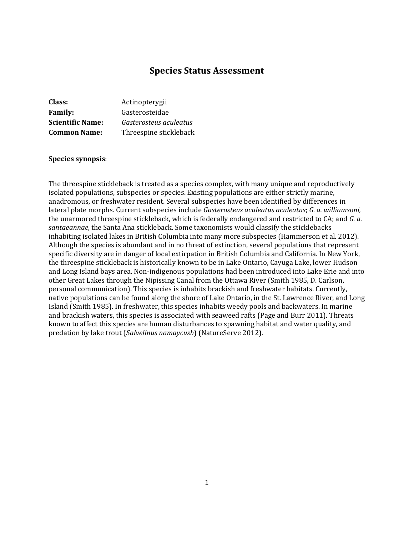# **Species Status Assessment**

| Class:                  | Actinopterygii         |
|-------------------------|------------------------|
| <b>Family:</b>          | Gasterosteidae         |
| <b>Scientific Name:</b> | Gasterosteus aculeatus |
| <b>Common Name:</b>     | Threespine stickleback |

#### **Species synopsis**:

The threespine stickleback is treated as a species complex, with many unique and reproductively isolated populations, subspecies or species. Existing populations are either strictly marine, anadromous, or freshwater resident. Several subspecies have been identified by differences in lateral plate morphs. Current subspecies include *[Gasterosteus aculeatus aculeatus](http://eol.org/pages/2790457/overview/)*; *G. a. williamsoni,* the unarmored threespine stickleback, which is federally endangered and restricted to CA; and *G. a. santaeannae,* the Santa Ana stickleback. Some taxonomists would classify the sticklebacks inhabiting isolated lakes in British Columbia into many more subspecies (Hammerson et al. 2012). Although the species is abundant and in no threat of extinction, several populations that represent specific diversity are in danger of local extirpation in British Columbia and California. In New York, the threespine stickleback is historically known to be in Lake Ontario, Cayuga Lake, lower Hudson and Long Island bays area. Non-indigenous populations had been introduced into Lake Erie and into other Great Lakes through the Nipissing Canal from the Ottawa River (Smith 1985, D. Carlson, personal communication). This species is inhabits brackish and freshwater habitats. Currently, native populations can be found along the shore of Lake Ontario, in the St. Lawrence River, and Long Island (Smith 1985). In freshwater, this species inhabits weedy pools and backwaters. In marine and brackish waters, this species is associated with seaweed rafts (Page and Burr 2011). Threats known to affect this species are human disturbances to spawning habitat and water quality, and predation by lake trout (*Salvelinus namaycush*) (NatureServe 2012).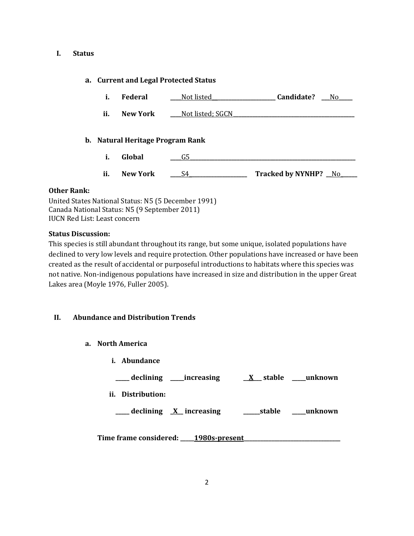#### **I. Status**

### **a. Current and Legal Protected Status**

- **i. Federal \_\_\_\_**Not listed**\_\_\_\_\_\_\_\_\_\_\_\_\_\_\_\_\_\_\_\_\_\_\_ Candidate? \_\_\_**No**\_\_\_\_\_**
- **ii. New York Not listed; SGCN**

### **b. Natural Heritage Program Rank**

- **i. Global \_\_\_\_**G5**\_\_\_\_\_\_\_\_\_\_\_\_\_\_\_\_\_\_\_\_\_\_\_\_\_\_\_\_\_\_\_\_\_\_\_\_\_\_\_\_\_\_\_\_\_\_\_\_\_\_\_\_\_\_\_\_\_\_\_\_**
- **ii. New York \_\_\_\_**S4**\_\_\_\_\_\_\_\_\_\_\_\_\_\_\_\_\_\_\_\_\_ Tracked by NYNHP? \_\_**No**\_\_\_\_\_\_**

#### **Other Rank:**

United States National Status: N5 (5 December 1991) Canada National Status: N5 (9 September 2011) IUCN Red List: Least concern

### **Status Discussion:**

This species is still abundant throughout its range, but some unique, isolated populations have declined to very low levels and require protection. Other populations have increased or have been created as the result of accidental or purposeful introductions to habitats where this species was not native. Non-indigenous populations have increased in size and distribution in the upper Great Lakes area (Moyle 1976, Fuller 2005).

### **II. Abundance and Distribution Trends**

- **a. North America**
	- **i. Abundance**

**\_\_\_\_\_ declining \_\_\_\_\_increasing \_\_X\_\_\_ stable \_\_\_\_\_unknown ii. Distribution:**

**\_\_\_\_\_ declining \_X\_\_ increasing \_\_\_\_\_\_stable \_\_\_\_\_unknown**

**Time frame considered: \_\_\_\_\_1980s-present\_\_\_\_\_\_\_\_\_\_\_\_\_\_\_\_\_\_\_\_\_\_\_\_\_\_\_\_\_\_\_\_\_\_\_**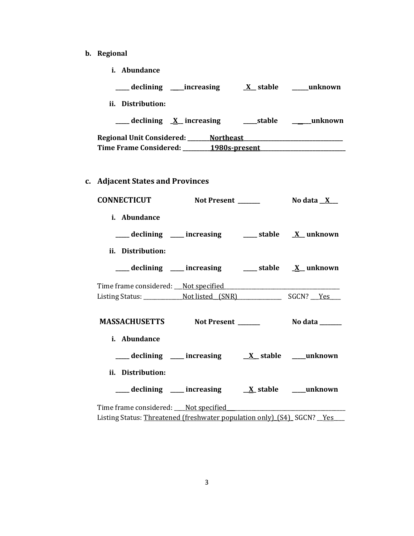- **b. Regional** 
	- **i. Abundance**

|                               | declining _____increasing         | X stable      | unknown |
|-------------------------------|-----------------------------------|---------------|---------|
| Distribution:<br>ii.          |                                   |               |         |
|                               | $\equiv$ declining $X$ increasing | stable        | unknown |
| Regional Unit Considered:     | <b>Northeast</b>                  |               |         |
| <b>Time Frame Considered:</b> |                                   | 1980s-present |         |

**c. Adjacent States and Provinces**

| <b>CONNECTICUT</b>                      | Not Present                                                         | No data $X$ |
|-----------------------------------------|---------------------------------------------------------------------|-------------|
| i. Abundance                            | ___declining ___ increasing ____ stable __ ___ unknown              |             |
| ii. Distribution:                       |                                                                     |             |
|                                         | ___ declining ___ increasing ___ stable __ X_unknown                |             |
|                                         |                                                                     |             |
| <b>MASSACHUSETTS</b> Not Present ______ |                                                                     | No data     |
| i. Abundance                            |                                                                     |             |
|                                         |                                                                     |             |
| ii. Distribution:                       |                                                                     |             |
|                                         | ____ declining ____ increasing ____ ____ _____ stable _____ unknown |             |
|                                         |                                                                     |             |

Listing Status: Threatened (freshwater population only) (S4)\_SGCN? \_Yes\_\_\_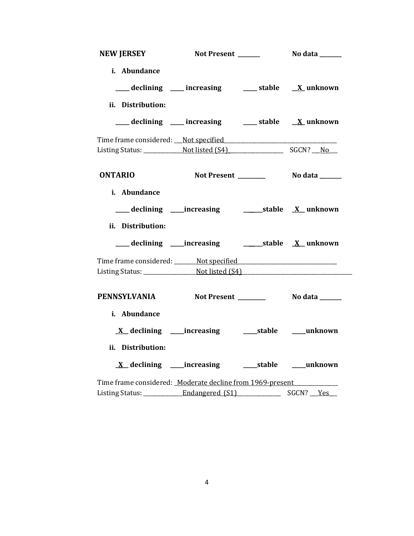| <b>NEW JERSEY</b>                                                                | Not Present ______                                                | No data _______ |
|----------------------------------------------------------------------------------|-------------------------------------------------------------------|-----------------|
| i. Abundance                                                                     |                                                                   |                 |
|                                                                                  | ___ declining ___ increasing ___ stable __ X_ unknown             |                 |
| ii. Distribution:                                                                |                                                                   |                 |
|                                                                                  | ___ declining ___ increasing ___ stable __ X_ unknown             |                 |
|                                                                                  |                                                                   |                 |
|                                                                                  |                                                                   |                 |
| <b>ONTARIO</b>                                                                   |                                                                   |                 |
| i. Abundance                                                                     |                                                                   |                 |
| ___ declining ____increasing _______________stable __ X__unknown                 |                                                                   |                 |
| ii. Distribution:                                                                |                                                                   |                 |
|                                                                                  | ___ declining ____increasing _____________stable ________ unknown |                 |
| Time frame considered: _______ Not specified ___________________________________ |                                                                   |                 |
|                                                                                  |                                                                   |                 |
| PENNSYLVANIA Not Present ________ No data _____                                  |                                                                   |                 |
| i. Abundance                                                                     |                                                                   |                 |
|                                                                                  |                                                                   |                 |
| ii. Distribution:                                                                |                                                                   |                 |
|                                                                                  | <u>X</u> declining ____increasing ______stable ____unknown        |                 |
| Time frame considered: Moderate decline from 1969-present                        |                                                                   |                 |
| Listing Status: _____________Endangered (S1)                                     |                                                                   | SGCN? Yes       |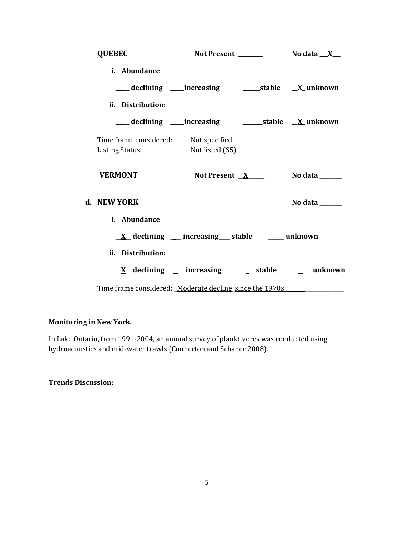| <b>QUEBEC</b>                                                                    |                                                                        | Not Present $\frac{1}{1}$ No data $\frac{X}{X}$ |
|----------------------------------------------------------------------------------|------------------------------------------------------------------------|-------------------------------------------------|
| i. Abundance                                                                     |                                                                        |                                                 |
|                                                                                  | ___declining ___increasing    ____stable __ <u>X</u> _unknown          |                                                 |
| ii. Distribution:                                                                |                                                                        |                                                 |
|                                                                                  | ___ declining ____increasing ______________stable __ <u>X</u> _unknown |                                                 |
|                                                                                  |                                                                        |                                                 |
|                                                                                  |                                                                        |                                                 |
| <b>VERMONT</b>                                                                   |                                                                        | Not Present $X$ No data $\frac{X}{X}$           |
| d. NEW YORK                                                                      |                                                                        | No data _____                                   |
| i. Abundance                                                                     |                                                                        |                                                 |
|                                                                                  | $\underline{X}$ declining __ increasing __ stable __ unknown           |                                                 |
| ii. Distribution:                                                                |                                                                        |                                                 |
|                                                                                  | $\underline{X}$ declining ___ increasing ___ stable ____ unknown       |                                                 |
| Time frame considered: Moderate decline since the 1970s ________________________ |                                                                        |                                                 |

# **Monitoring in New York.**

In Lake Ontario, from 1991-2004, an annual survey of planktivores was conducted using hydroacoustics and mid-water trawls (Connerton and Schaner 2008).

**Trends Discussion:**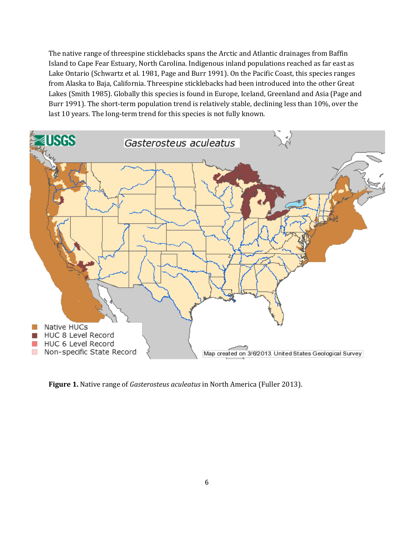The native range of threespine sticklebacks spans the Arctic and Atlantic drainages from Baffin Island to Cape Fear Estuary, North Carolina. Indigenous inland populations reached as far east as Lake Ontario (Schwartz et al. 1981, Page and Burr 1991). On the Pacific Coast, this species ranges from Alaska to Baja, California. Threespine sticklebacks had been introduced into the other Great Lakes (Smith 1985). Globally this species is found in Europe, Iceland, Greenland and Asia (Page and Burr 1991). The short-term population trend is relatively stable, declining less than 10%, over the last 10 years. The long-term trend for this species is not fully known.



**Figure 1.** Native range of *Gasterosteus aculeatus* in North America (Fuller 2013).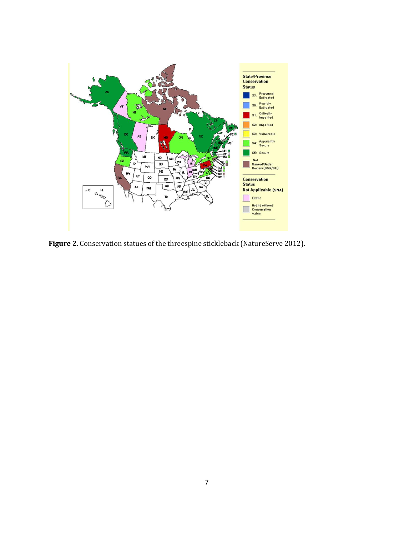

**Figure 2**. Conservation statues of the threespine stickleback (NatureServe 2012).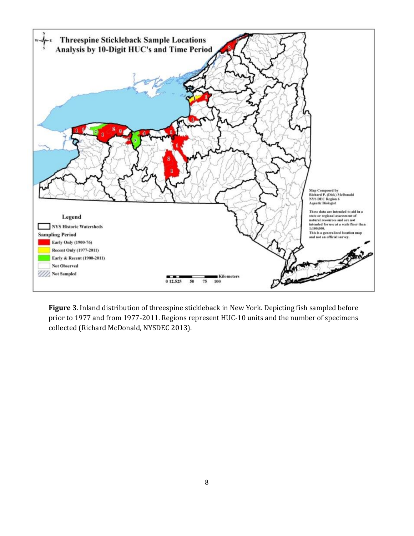

**Figure 3**. Inland distribution of threespine stickleback in New York. Depicting fish sampled before prior to 1977 and from 1977-2011. Regions represent HUC-10 units and the number of specimens collected (Richard McDonald, NYSDEC 2013).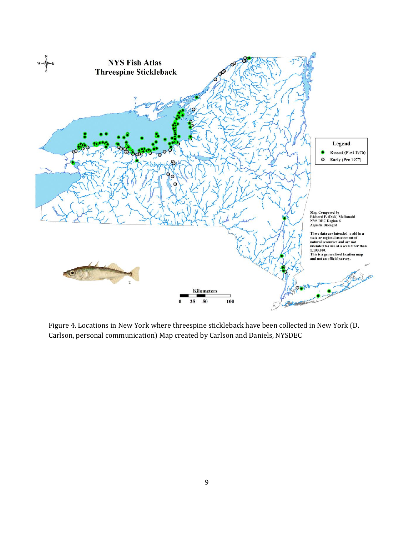

Figure 4. Locations in New York where threespine stickleback have been collected in New York (D. Carlson, personal communication) Map created by Carlson and Daniels, NYSDEC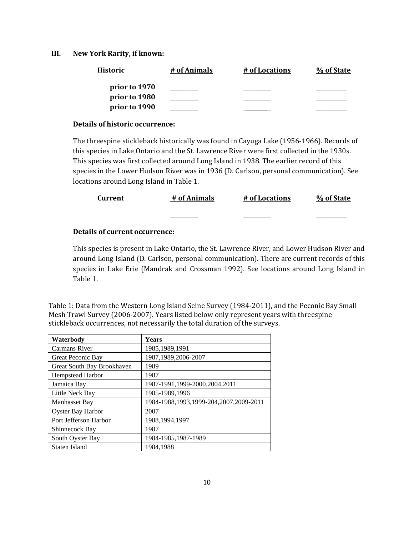#### **III. New York Rarity, if known:**

| Historic      | # of Animals | # of Locations | % of State |
|---------------|--------------|----------------|------------|
| prior to 1970 |              |                |            |
| prior to 1980 |              |                |            |
| prior to 1990 |              |                |            |

#### **Details of historic occurrence:**

The threespine stickleback historically was found in Cayuga Lake (1956-1966). Records of this species in Lake Ontario and the St. Lawrence River were first collected in the 1930s. This species was first collected around Long Island in 1938. The earlier record of this species in the Lower Hudson River was in 1936 (D. Carlson, personal communication). See locations around Long Island in Table 1.

| Current | # of Animals | # of Locations | % of State |
|---------|--------------|----------------|------------|
|         | _________    | _________      | ________   |

### **Details of current occurrence:**

This species is present in Lake Ontario, the St. Lawrence River, and Lower Hudson River and around Long Island (D. Carlson, personal communication). There are current records of this species in Lake Erie (Mandrak and Crossman 1992). See locations around Long Island in Table 1.

Table 1: Data from the Western Long Island Seine Survey (1984-2011), and the Peconic Bay Small Mesh Trawl Survey (2006-2007). Years listed below only represent years with threespine stickleback occurrences, not necessarily the total duration of the surveys.

| Waterbody                  | <b>Years</b>                           |
|----------------------------|----------------------------------------|
| <b>Carmans River</b>       | 1985, 1989, 1991                       |
| Great Peconic Bay          | 1987, 1989, 2006-2007                  |
| Great South Bay Brookhaven | 1989                                   |
| <b>Hempstead Harbor</b>    | 1987                                   |
| Jamaica Bay                | 1987-1991,1999-2000,2004,2011          |
| Little Neck Bay            | 1985-1989,1996                         |
| Manhasset Bay              | 1984-1988,1993,1999-204,2007,2009-2011 |
| <b>Oyster Bay Harbor</b>   | 2007                                   |
| Port Jefferson Harbor      | 1988, 1994, 1997                       |
| Shinnecock Bay             | 1987                                   |
| South Oyster Bay           | 1984-1985,1987-1989                    |
| Staten Island              | 1984,1988                              |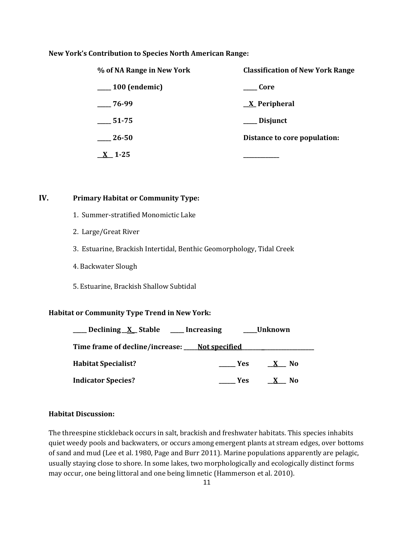#### **New York's Contribution to Species North American Range:**

| % of NA Range in New York | <b>Classification of New York Range</b> |  |
|---------------------------|-----------------------------------------|--|
| <sub>100</sub> (endemic)  | Core                                    |  |
| $-76-99$                  | $\underline{X}$ Peripheral              |  |
| 51-75                     | Disjunct                                |  |
| 26-50                     | Distance to core population:            |  |
| 1-25                      |                                         |  |

## **IV. Primary Habitat or Community Type:**

- 1. Summer-stratified Monomictic Lake
- 2. Large/Great River
- 3. Estuarine, Brackish Intertidal, Benthic Geomorphology, Tidal Creek
- 4. Backwater Slough
- 5. Estuarine, Brackish Shallow Subtidal

### **Habitat or Community Type Trend in New York:**

| ____ Declining X Stable ____ Increasing       |                   | <b>Unknown</b>                 |
|-----------------------------------------------|-------------------|--------------------------------|
| Time frame of decline/increase: Not specified |                   |                                |
| <b>Habitat Specialist?</b>                    | <b>Example SE</b> | - No<br>$\mathbf{X}$           |
| <b>Indicator Species?</b>                     | Yes               | N <sub>0</sub><br>$\mathbf{X}$ |

### **Habitat Discussion:**

The threespine stickleback occurs in salt, brackish and freshwater habitats. This species inhabits quiet weedy pools and backwaters, or occurs among emergent plants at stream edges, over bottoms of sand and mud (Lee et al. 1980, Page and Burr 2011). Marine populations apparently are pelagic, usually staying close to shore. In some lakes, two morphologically and ecologically distinct forms may occur, one being littoral and one being limnetic (Hammerson et al. 2010).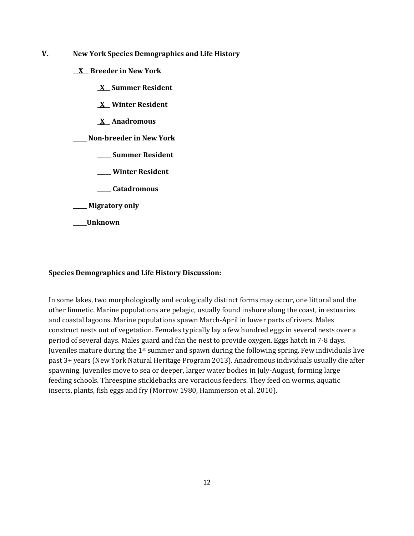- **V. New York Species Demographics and Life History**
	- **\_\_X\_\_ Breeder in New York**
		- **\_X\_\_ Summer Resident**
		- **\_X\_\_ Winter Resident**
		- **\_X\_\_ Anadromous**

**\_\_\_\_\_ Non-breeder in New York**

- **\_\_\_\_\_ Summer Resident**
- **\_\_\_\_\_ Winter Resident**
- **\_\_\_\_\_ Catadromous**
- **\_\_\_\_\_ Migratory only**
- **\_\_\_\_\_Unknown**

### **Species Demographics and Life History Discussion:**

In some lakes, two morphologically and ecologically distinct forms may occur, one littoral and the other limnetic. Marine populations are pelagic, usually found inshore along the coast, in estuaries and coastal lagoons. Marine populations spawn March-April in lower parts of rivers. Males construct nests out of vegetation. Females typically lay a few hundred eggs in several nests over a period of several days. Males guard and fan the nest to provide oxygen. Eggs hatch in 7-8 days. Juveniles mature during the 1st summer and spawn during the following spring. Few individuals live past 3+ years (New York Natural Heritage Program 2013). Anadromous individuals usually die after spawning. Juveniles move to sea or deeper, larger water bodies in July-August, forming large feeding schools. Threespine sticklebacks are voracious feeders. They feed on worms, aquatic insects, plants, fish eggs and fry (Morrow 1980, Hammerson et al. 2010).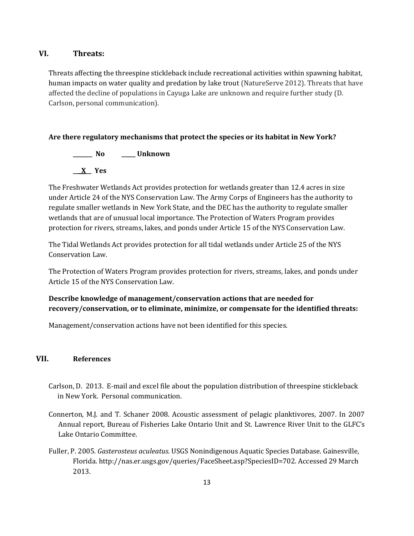## **VI. Threats:**

Threats affecting the threespine stickleback include recreational activities within spawning habitat, human impacts on water quality and predation by lake trout (NatureServe 2012). Threats that have affected the decline of populations in Cayuga Lake are unknown and require further study (D. Carlson, personal communication).

#### **Are there regulatory mechanisms that protect the species or its habitat in New York?**

**\_\_\_\_\_\_\_ No \_\_\_\_\_ Unknown \_\_\_X\_\_ Yes** 

The Freshwater Wetlands Act provides protection for wetlands greater than 12.4 acres in size under Article 24 of the NYS Conservation Law. The Army Corps of Engineers has the authority to regulate smaller wetlands in New York State, and the DEC has the authority to regulate smaller wetlands that are of unusual local importance. The Protection of Waters Program provides protection for rivers, streams, lakes, and ponds under Article 15 of the NYS Conservation Law.

The Tidal Wetlands Act provides protection for all tidal wetlands under Article 25 of the NYS Conservation Law.

The Protection of Waters Program provides protection for rivers, streams, lakes, and ponds under Article 15 of the NYS Conservation Law.

## **Describe knowledge of management/conservation actions that are needed for recovery/conservation, or to eliminate, minimize, or compensate for the identified threats:**

Management/conservation actions have not been identified for this species.

### **VII. References**

- Carlson, D. 2013. E-mail and excel file about the population distribution of threespine stickleback in New York. Personal communication.
- Connerton, M.J. and T. Schaner 2008. Acoustic assessment of pelagic planktivores, 2007. In 2007 Annual report, Bureau of Fisheries Lake Ontario Unit and St. Lawrence River Unit to the GLFC's Lake Ontario Committee.
- Fuller, P. 2005. *Gasterosteus aculeatus*. USGS Nonindigenous Aquatic Species Database. Gainesville, Florida. http://nas.er.usgs.gov/queries/FaceSheet.asp?SpeciesID=702. Accessed 29 March 2013.